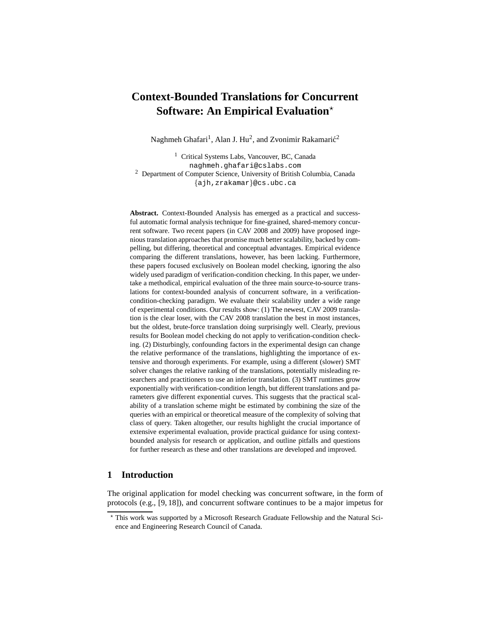# **Context-Bounded Translations for Concurrent Software: An Empirical Evaluation**<sup>⋆</sup>

Naghmeh Ghafari<sup>1</sup>, Alan J. Hu<sup>2</sup>, and Zvonimir Rakamarić<sup>2</sup>

<sup>1</sup> Critical Systems Labs, Vancouver, BC, Canada naghmeh.ghafari@cslabs.com <sup>2</sup> Department of Computer Science, University of British Columbia, Canada {ajh,zrakamar}@cs.ubc.ca

**Abstract.** Context-Bounded Analysis has emerged as a practical and successful automatic formal analysis technique for fine-grained, shared-memory concurrent software. Two recent papers (in CAV 2008 and 2009) have proposed ingenious translation approaches that promise much better scalability, backed by compelling, but differing, theoretical and conceptual advantages. Empirical evidence comparing the different translations, however, has been lacking. Furthermore, these papers focused exclusively on Boolean model checking, ignoring the also widely used paradigm of verification-condition checking. In this paper, we undertake a methodical, empirical evaluation of the three main source-to-source translations for context-bounded analysis of concurrent software, in a verificationcondition-checking paradigm. We evaluate their scalability under a wide range of experimental conditions. Our results show: (1) The newest, CAV 2009 translation is the clear loser, with the CAV 2008 translation the best in most instances, but the oldest, brute-force translation doing surprisingly well. Clearly, previous results for Boolean model checking do not apply to verification-condition checking. (2) Disturbingly, confounding factors in the experimental design can change the relative performance of the translations, highlighting the importance of extensive and thorough experiments. For example, using a different (slower) SMT solver changes the relative ranking of the translations, potentially misleading researchers and practitioners to use an inferior translation. (3) SMT runtimes grow exponentially with verification-condition length, but different translations and parameters give different exponential curves. This suggests that the practical scalability of a translation scheme might be estimated by combining the size of the queries with an empirical or theoretical measure of the complexity of solving that class of query. Taken altogether, our results highlight the crucial importance of extensive experimental evaluation, provide practical guidance for using contextbounded analysis for research or application, and outline pitfalls and questions for further research as these and other translations are developed and improved.

# **1 Introduction**

The original application for model checking was concurrent software, in the form of protocols (e.g., [9, 18]), and concurrent software continues to be a major impetus for

<sup>⋆</sup> This work was supported by a Microsoft Research Graduate Fellowship and the Natural Science and Engineering Research Council of Canada.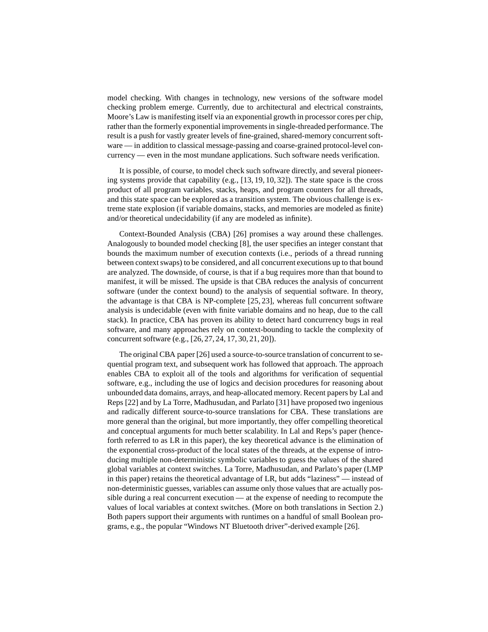model checking. With changes in technology, new versions of the software model checking problem emerge. Currently, due to architectural and electrical constraints, Moore's Law is manifesting itself via an exponential growth in processor cores per chip, rather than the formerly exponential improvements in single-threaded performance. The result is a push for vastly greater levels of fine-grained, shared-memory concurrent software — in addition to classical message-passing and coarse-grained protocol-level concurrency — even in the most mundane applications. Such software needs verification.

It is possible, of course, to model check such software directly, and several pioneering systems provide that capability (e.g., [13, 19, 10, 32]). The state space is the cross product of all program variables, stacks, heaps, and program counters for all threads, and this state space can be explored as a transition system. The obvious challenge is extreme state explosion (if variable domains, stacks, and memories are modeled as finite) and/or theoretical undecidability (if any are modeled as infinite).

Context-Bounded Analysis (CBA) [26] promises a way around these challenges. Analogously to bounded model checking [8], the user specifies an integer constant that bounds the maximum number of execution contexts (i.e., periods of a thread running between context swaps) to be considered, and all concurrent executions up to that bound are analyzed. The downside, of course, is that if a bug requires more than that bound to manifest, it will be missed. The upside is that CBA reduces the analysis of concurrent software (under the context bound) to the analysis of sequential software. In theory, the advantage is that CBA is NP-complete [25, 23], whereas full concurrent software analysis is undecidable (even with finite variable domains and no heap, due to the call stack). In practice, CBA has proven its ability to detect hard concurrency bugs in real software, and many approaches rely on context-bounding to tackle the complexity of concurrent software (e.g., [26, 27, 24, 17, 30, 21, 20]).

The original CBA paper [26] used a source-to-source translation of concurrent to sequential program text, and subsequent work has followed that approach. The approach enables CBA to exploit all of the tools and algorithms for verification of sequential software, e.g., including the use of logics and decision procedures for reasoning about unbounded data domains, arrays, and heap-allocated memory. Recent papers by Lal and Reps [22] and by La Torre, Madhusudan, and Parlato [31] have proposed two ingenious and radically different source-to-source translations for CBA. These translations are more general than the original, but more importantly, they offer compelling theoretical and conceptual arguments for much better scalability. In Lal and Reps's paper (henceforth referred to as LR in this paper), the key theoretical advance is the elimination of the exponential cross-product of the local states of the threads, at the expense of introducing multiple non-deterministic symbolic variables to guess the values of the shared global variables at context switches. La Torre, Madhusudan, and Parlato's paper (LMP in this paper) retains the theoretical advantage of LR, but adds "laziness" — instead of non-deterministic guesses, variables can assume only those values that are actually possible during a real concurrent execution — at the expense of needing to recompute the values of local variables at context switches. (More on both translations in Section 2.) Both papers support their arguments with runtimes on a handful of small Boolean programs, e.g., the popular "Windows NT Bluetooth driver"-derived example [26].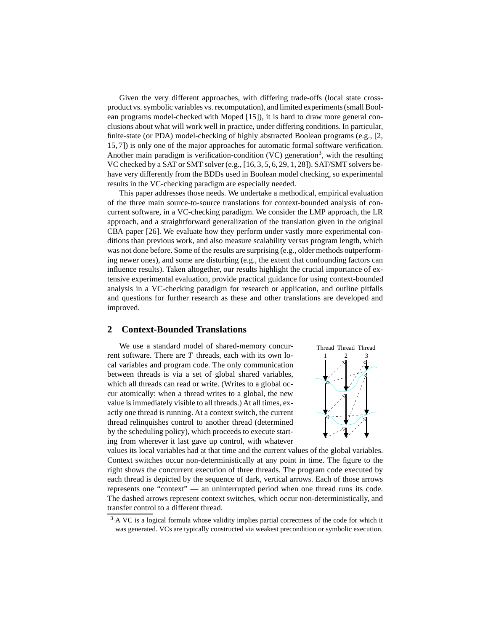Given the very different approaches, with differing trade-offs (local state crossproduct vs. symbolic variables vs. recomputation), and limited experiments (small Boolean programs model-checked with Moped [15]), it is hard to draw more general conclusions about what will work well in practice, under differing conditions. In particular, finite-state (or PDA) model-checking of highly abstracted Boolean programs (e.g., [2, 15, 7]) is only one of the major approaches for automatic formal software verification. Another main paradigm is verification-condition (VC) generation<sup>3</sup>, with the resulting VC checked by a SAT or SMT solver (e.g., [16, 3, 5, 6, 29, 1, 28]). SAT/SMT solvers behave very differently from the BDDs used in Boolean model checking, so experimental results in the VC-checking paradigm are especially needed.

This paper addresses those needs. We undertake a methodical, empirical evaluation of the three main source-to-source translations for context-bounded analysis of concurrent software, in a VC-checking paradigm. We consider the LMP approach, the LR approach, and a straightforward generalization of the translation given in the original CBA paper [26]. We evaluate how they perform under vastly more experimental conditions than previous work, and also measure scalability versus program length, which was not done before. Some of the results are surprising (e.g., older methods outperforming newer ones), and some are disturbing (e.g., the extent that confounding factors can influence results). Taken altogether, our results highlight the crucial importance of extensive experimental evaluation, provide practical guidance for using context-bounded analysis in a VC-checking paradigm for research or application, and outline pitfalls and questions for further research as these and other translations are developed and improved.

# **2 Context-Bounded Translations**

We use a standard model of shared-memory concurrent software. There are  $T$  threads, each with its own local variables and program code. The only communication between threads is via a set of global shared variables, which all threads can read or write. (Writes to a global occur atomically: when a thread writes to a global, the new value is immediately visible to all threads.) At all times, exactly one thread is running. At a context switch, the current thread relinquishes control to another thread (determined by the scheduling policy), which proceeds to execute starting from wherever it last gave up control, with whatever



values its local variables had at that time and the current values of the global variables. Context switches occur non-deterministically at any point in time. The figure to the right shows the concurrent execution of three threads. The program code executed by each thread is depicted by the sequence of dark, vertical arrows. Each of those arrows represents one "context" — an uninterrupted period when one thread runs its code. The dashed arrows represent context switches, which occur non-deterministically, and transfer control to a different thread.

<sup>&</sup>lt;sup>3</sup> A VC is a logical formula whose validity implies partial correctness of the code for which it was generated. VCs are typically constructed via weakest precondition or symbolic execution.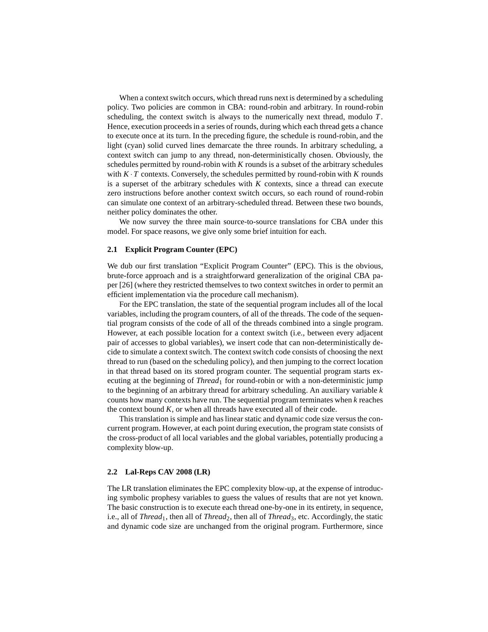When a context switch occurs, which thread runs next is determined by a scheduling policy. Two policies are common in CBA: round-robin and arbitrary. In round-robin scheduling, the context switch is always to the numerically next thread, modulo *T*. Hence, execution proceeds in a series of rounds, during which each thread gets a chance to execute once at its turn. In the preceding figure, the schedule is round-robin, and the light (cyan) solid curved lines demarcate the three rounds. In arbitrary scheduling, a context switch can jump to any thread, non-deterministically chosen. Obviously, the schedules permitted by round-robin with *K* rounds is a subset of the arbitrary schedules with  $K \cdot T$  contexts. Conversely, the schedules permitted by round-robin with  $K$  rounds is a superset of the arbitrary schedules with *K* contexts, since a thread can execute zero instructions before another context switch occurs, so each round of round-robin can simulate one context of an arbitrary-scheduled thread. Between these two bounds, neither policy dominates the other.

We now survey the three main source-to-source translations for CBA under this model. For space reasons, we give only some brief intuition for each.

### **2.1 Explicit Program Counter (EPC)**

We dub our first translation "Explicit Program Counter" (EPC). This is the obvious, brute-force approach and is a straightforward generalization of the original CBA paper [26] (where they restricted themselves to two context switches in order to permit an efficient implementation via the procedure call mechanism).

For the EPC translation, the state of the sequential program includes all of the local variables, including the program counters, of all of the threads. The code of the sequential program consists of the code of all of the threads combined into a single program. However, at each possible location for a context switch (i.e., between every adjacent pair of accesses to global variables), we insert code that can non-deterministically decide to simulate a context switch. The context switch code consists of choosing the next thread to run (based on the scheduling policy), and then jumping to the correct location in that thread based on its stored program counter. The sequential program starts executing at the beginning of *Thread*<sub>1</sub> for round-robin or with a non-deterministic jump to the beginning of an arbitrary thread for arbitrary scheduling. An auxiliary variable *k* counts how many contexts have run. The sequential program terminates when *k* reaches the context bound  $K$ , or when all threads have executed all of their code.

This translation is simple and has linear static and dynamic code size versus the concurrent program. However, at each point during execution, the program state consists of the cross-product of all local variables and the global variables, potentially producing a complexity blow-up.

#### **2.2 Lal-Reps CAV 2008 (LR)**

The LR translation eliminates the EPC complexity blow-up, at the expense of introducing symbolic prophesy variables to guess the values of results that are not yet known. The basic construction is to execute each thread one-by-one in its entirety, in sequence, i.e., all of *Thread*<sub>1</sub>, then all of *Thread*<sub>2</sub>, then all of *Thread*<sub>3</sub>, etc. Accordingly, the static and dynamic code size are unchanged from the original program. Furthermore, since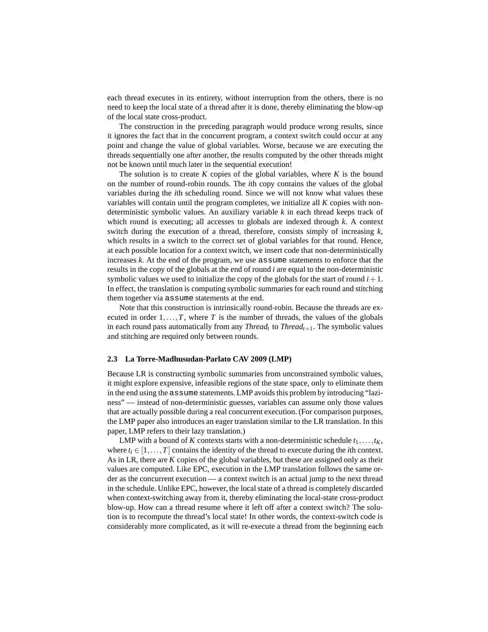each thread executes in its entirety, without interruption from the others, there is no need to keep the local state of a thread after it is done, thereby eliminating the blow-up of the local state cross-product.

The construction in the preceding paragraph would produce wrong results, since it ignores the fact that in the concurrent program, a context switch could occur at any point and change the value of global variables. Worse, because we are executing the threads sequentially one after another, the results computed by the other threads might not be known until much later in the sequential execution!

The solution is to create  $K$  copies of the global variables, where  $K$  is the bound on the number of round-robin rounds. The *i*th copy contains the values of the global variables during the *i*th scheduling round. Since we will not know what values these variables will contain until the program completes, we initialize all *K* copies with nondeterministic symbolic values. An auxiliary variable *k* in each thread keeps track of which round is executing; all accesses to globals are indexed through *k*. A context switch during the execution of a thread, therefore, consists simply of increasing *k*, which results in a switch to the correct set of global variables for that round. Hence, at each possible location for a context switch, we insert code that non-deterministically increases *k*. At the end of the program, we use assume statements to enforce that the results in the copy of the globals at the end of round *i* are equal to the non-deterministic symbolic values we used to initialize the copy of the globals for the start of round  $i+1$ . In effect, the translation is computing symbolic summaries for each round and stitching them together via assume statements at the end.

Note that this construction is intrinsically round-robin. Because the threads are executed in order  $1, \ldots, T$ , where *T* is the number of threads, the values of the globals in each round pass automatically from any *Thread<sup>t</sup>* to *Threadt*+1. The symbolic values and stitching are required only between rounds.

#### **2.3 La Torre-Madhusudan-Parlato CAV 2009 (LMP)**

Because LR is constructing symbolic summaries from unconstrained symbolic values, it might explore expensive, infeasible regions of the state space, only to eliminate them in the end using the assume statements. LMP avoids this problem by introducing "laziness" — instead of non-deterministic guesses, variables can assume only those values that are actually possible during a real concurrent execution. (For comparison purposes, the LMP paper also introduces an eager translation similar to the LR translation. In this paper, LMP refers to their lazy translation.)

LMP with a bound of *K* contexts starts with a non-deterministic schedule  $t_1, \ldots, t_K$ , where  $t_i \in [1, \ldots, T]$  contains the identity of the thread to execute during the *i*th context. As in LR, there are *K* copies of the global variables, but these are assigned only as their values are computed. Like EPC, execution in the LMP translation follows the same order as the concurrent execution — a context switch is an actual jump to the next thread in the schedule. Unlike EPC, however, the local state of a thread is completely discarded when context-switching away from it, thereby eliminating the local-state cross-product blow-up. How can a thread resume where it left off after a context switch? The solution is to recompute the thread's local state! In other words, the context-switch code is considerably more complicated, as it will re-execute a thread from the beginning each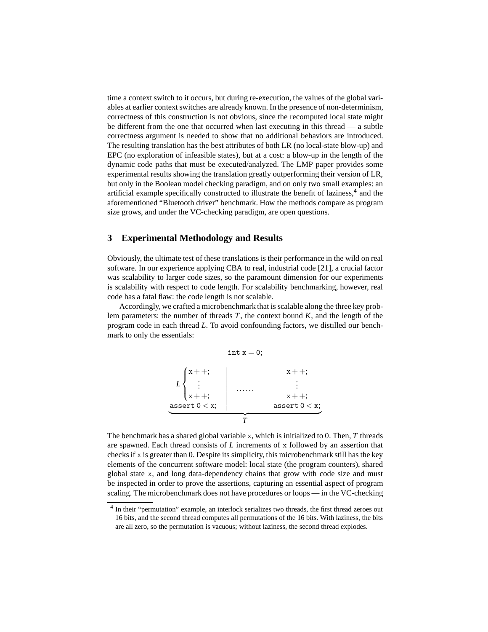time a context switch to it occurs, but during re-execution, the values of the global variables at earlier context switches are already known. In the presence of non-determinism, correctness of this construction is not obvious, since the recomputed local state might be different from the one that occurred when last executing in this thread — a subtle correctness argument is needed to show that no additional behaviors are introduced. The resulting translation has the best attributes of both LR (no local-state blow-up) and EPC (no exploration of infeasible states), but at a cost: a blow-up in the length of the dynamic code paths that must be executed/analyzed. The LMP paper provides some experimental results showing the translation greatly outperforming their version of LR, but only in the Boolean model checking paradigm, and on only two small examples: an artificial example specifically constructed to illustrate the benefit of laziness,<sup>4</sup> and the aforementioned "Bluetooth driver" benchmark. How the methods compare as program size grows, and under the VC-checking paradigm, are open questions.

# **3 Experimental Methodology and Results**

Obviously, the ultimate test of these translations is their performance in the wild on real software. In our experience applying CBA to real, industrial code [21], a crucial factor was scalability to larger code sizes, so the paramount dimension for our experiments is scalability with respect to code length. For scalability benchmarking, however, real code has a fatal flaw: the code length is not scalable.

Accordingly, we crafted a microbenchmark that is scalable along the three key problem parameters: the number of threads *T*, the context bound *K*, and the length of the program code in each thread *L*. To avoid confounding factors, we distilled our benchmark to only the essentials:



The benchmark has a shared global variable x, which is initialized to 0. Then, *T* threads are spawned. Each thread consists of *L* increments of x followed by an assertion that checks if x is greater than 0. Despite its simplicity, this microbenchmark still has the key elements of the concurrent software model: local state (the program counters), shared global state x, and long data-dependency chains that grow with code size and must be inspected in order to prove the assertions, capturing an essential aspect of program scaling. The microbenchmark does not have procedures or loops — in the VC-checking

<sup>&</sup>lt;sup>4</sup> In their "permutation" example, an interlock serializes two threads, the first thread zeroes out 16 bits, and the second thread computes all permutations of the 16 bits. With laziness, the bits are all zero, so the permutation is vacuous; without laziness, the second thread explodes.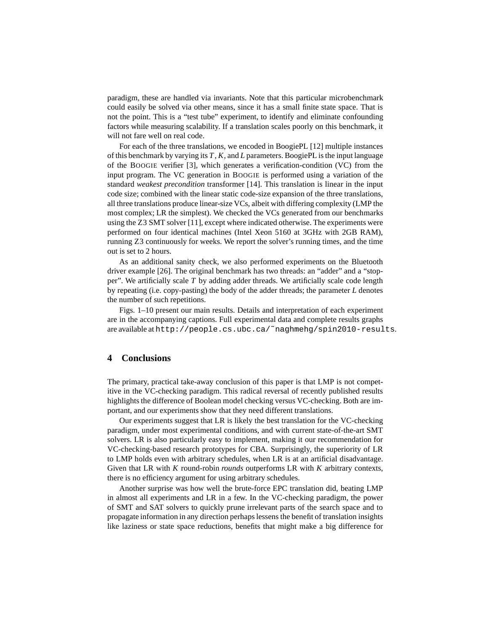paradigm, these are handled via invariants. Note that this particular microbenchmark could easily be solved via other means, since it has a small finite state space. That is not the point. This is a "test tube" experiment, to identify and eliminate confounding factors while measuring scalability. If a translation scales poorly on this benchmark, it will not fare well on real code.

For each of the three translations, we encoded in BoogiePL [12] multiple instances of this benchmark by varying its *T*, *K*, and *L* parameters. BoogiePL is the input language of the BOOGIE verifier [3], which generates a verification-condition (VC) from the input program. The VC generation in BOOGIE is performed using a variation of the standard *weakest precondition* transformer [14]. This translation is linear in the input code size; combined with the linear static code-size expansion of the three translations, all three translations produce linear-size VCs, albeit with differing complexity (LMP the most complex; LR the simplest). We checked the VCs generated from our benchmarks using the Z3 SMT solver [11], except where indicated otherwise. The experiments were performed on four identical machines (Intel Xeon 5160 at 3GHz with 2GB RAM), running Z3 continuously for weeks. We report the solver's running times, and the time out is set to 2 hours.

As an additional sanity check, we also performed experiments on the Bluetooth driver example [26]. The original benchmark has two threads: an "adder" and a "stopper". We artificially scale *T* by adding adder threads. We artificially scale code length by repeating (i.e. copy-pasting) the body of the adder threads; the parameter *L* denotes the number of such repetitions.

Figs. 1–10 present our main results. Details and interpretation of each experiment are in the accompanying captions. Full experimental data and complete results graphs are available at http://people.cs.ubc.ca/˜naghmehg/spin2010-results.

## **4 Conclusions**

The primary, practical take-away conclusion of this paper is that LMP is not competitive in the VC-checking paradigm. This radical reversal of recently published results highlights the difference of Boolean model checking versus VC-checking. Both are important, and our experiments show that they need different translations.

Our experiments suggest that LR is likely the best translation for the VC-checking paradigm, under most experimental conditions, and with current state-of-the-art SMT solvers. LR is also particularly easy to implement, making it our recommendation for VC-checking-based research prototypes for CBA. Surprisingly, the superiority of LR to LMP holds even with arbitrary schedules, when LR is at an artificial disadvantage. Given that LR with *K* round-robin *rounds* outperforms LR with *K* arbitrary contexts, there is no efficiency argument for using arbitrary schedules.

Another surprise was how well the brute-force EPC translation did, beating LMP in almost all experiments and LR in a few. In the VC-checking paradigm, the power of SMT and SAT solvers to quickly prune irrelevant parts of the search space and to propagate information in any direction perhaps lessens the benefit of translation insights like laziness or state space reductions, benefits that might make a big difference for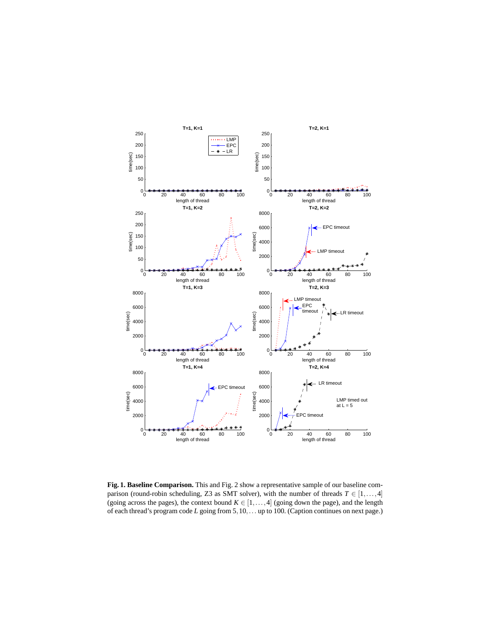

**Fig. 1. Baseline Comparison.** This and Fig. 2 show a representative sample of our baseline comparison (round-robin scheduling, Z3 as SMT solver), with the number of threads  $T \in [1, \ldots, 4]$ (going across the pages), the context bound  $K \in [1, \ldots, 4]$  (going down the page), and the length of each thread's program code *L* going from 5,10,... up to 100. (Caption continues on next page.)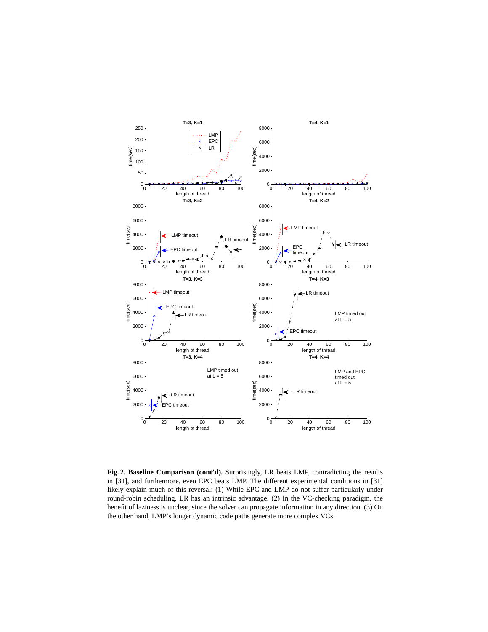

**Fig. 2. Baseline Comparison (cont'd).** Surprisingly, LR beats LMP, contradicting the results in [31], and furthermore, even EPC beats LMP. The different experimental conditions in [31] likely explain much of this reversal: (1) While EPC and LMP do not suffer particularly under round-robin scheduling, LR has an intrinsic advantage. (2) In the VC-checking paradigm, the benefit of laziness is unclear, since the solver can propagate information in any direction. (3) On the other hand, LMP's longer dynamic code paths generate more complex VCs.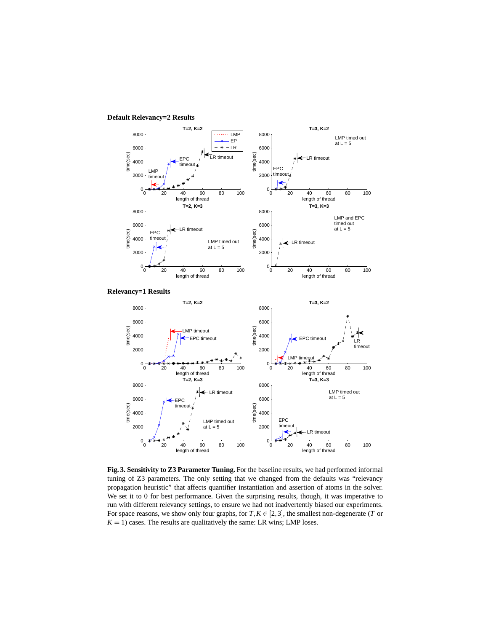



**Fig. 3. Sensitivity to Z3 Parameter Tuning.** For the baseline results, we had performed informal tuning of Z3 parameters. The only setting that we changed from the defaults was "relevancy propagation heuristic" that affects quantifier instantiation and assertion of atoms in the solver. We set it to 0 for best performance. Given the surprising results, though, it was imperative to run with different relevancy settings, to ensure we had not inadvertently biased our experiments. For space reasons, we show only four graphs, for  $T, K \in [2,3]$ , the smallest non-degenerate (*T* or  $K = 1$ ) cases. The results are qualitatively the same: LR wins; LMP loses.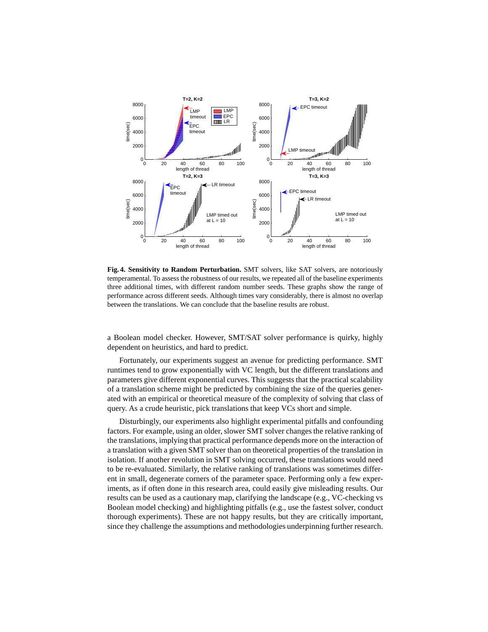

**Fig. 4. Sensitivity to Random Perturbation.** SMT solvers, like SAT solvers, are notoriously temperamental. To assess the robustness of our results, we repeated all of the baseline experiments three additional times, with different random number seeds. These graphs show the range of performance across different seeds. Although times vary considerably, there is almost no overlap between the translations. We can conclude that the baseline results are robust.

a Boolean model checker. However, SMT/SAT solver performance is quirky, highly dependent on heuristics, and hard to predict.

Fortunately, our experiments suggest an avenue for predicting performance. SMT runtimes tend to grow exponentially with VC length, but the different translations and parameters give different exponential curves. This suggests that the practical scalability of a translation scheme might be predicted by combining the size of the queries generated with an empirical or theoretical measure of the complexity of solving that class of query. As a crude heuristic, pick translations that keep VCs short and simple.

Disturbingly, our experiments also highlight experimental pitfalls and confounding factors. For example, using an older, slower SMT solver changes the relative ranking of the translations, implying that practical performance depends more on the interaction of a translation with a given SMT solver than on theoretical properties of the translation in isolation. If another revolution in SMT solving occurred, these translations would need to be re-evaluated. Similarly, the relative ranking of translations was sometimes different in small, degenerate corners of the parameter space. Performing only a few experiments, as if often done in this research area, could easily give misleading results. Our results can be used as a cautionary map, clarifying the landscape (e.g., VC-checking vs Boolean model checking) and highlighting pitfalls (e.g., use the fastest solver, conduct thorough experiments). These are not happy results, but they are critically important, since they challenge the assumptions and methodologies underpinning further research.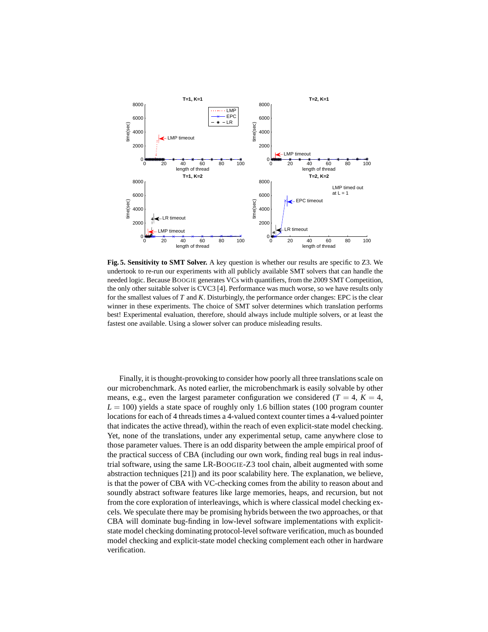

**Fig. 5. Sensitivity to SMT Solver.** A key question is whether our results are specific to Z3. We undertook to re-run our experiments with all publicly available SMT solvers that can handle the needed logic. Because BOOGIE generates VCs with quantifiers, from the 2009 SMT Competition, the only other suitable solver is CVC3 [4]. Performance was much worse, so we have results only for the smallest values of *T* and *K*. Disturbingly, the performance order changes: EPC is the clear winner in these experiments. The choice of SMT solver determines which translation performs best! Experimental evaluation, therefore, should always include multiple solvers, or at least the fastest one available. Using a slower solver can produce misleading results.

Finally, it is thought-provoking to consider how poorly all three translations scale on our microbenchmark. As noted earlier, the microbenchmark is easily solvable by other means, e.g., even the largest parameter configuration we considered  $(T = 4, K = 4,$  $L = 100$ ) yields a state space of roughly only 1.6 billion states (100 program counter locations for each of 4 threads times a 4-valued context counter times a 4-valued pointer that indicates the active thread), within the reach of even explicit-state model checking. Yet, none of the translations, under any experimental setup, came anywhere close to those parameter values. There is an odd disparity between the ample empirical proof of the practical success of CBA (including our own work, finding real bugs in real industrial software, using the same LR-BOOGIE-Z3 tool chain, albeit augmented with some abstraction techniques [21]) and its poor scalability here. The explanation, we believe, is that the power of CBA with VC-checking comes from the ability to reason about and soundly abstract software features like large memories, heaps, and recursion, but not from the core exploration of interleavings, which is where classical model checking excels. We speculate there may be promising hybrids between the two approaches, or that CBA will dominate bug-finding in low-level software implementations with explicitstate model checking dominating protocol-level software verification, much as bounded model checking and explicit-state model checking complement each other in hardware verification.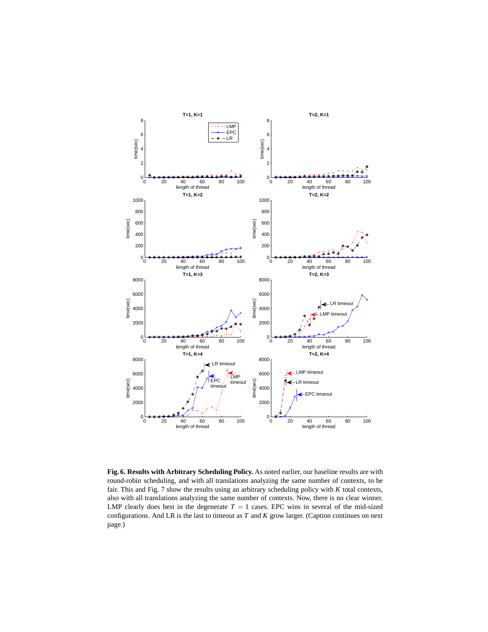

**Fig. 6. Results with Arbitrary Scheduling Policy.** As noted earlier, our baseline results are with round-robin scheduling, and with all translations analyzing the same number of contexts, to be fair. This and Fig. 7 show the results using an arbitrary scheduling policy with *K* total contexts, also with all translations analyzing the same number of contexts. Now, there is no clear winner. LMP clearly does best in the degenerate  $T = 1$  cases. EPC wins in several of the mid-sized configurations. And LR is the last to timeout as *T* and *K* grow larger. (Caption continues on next page.)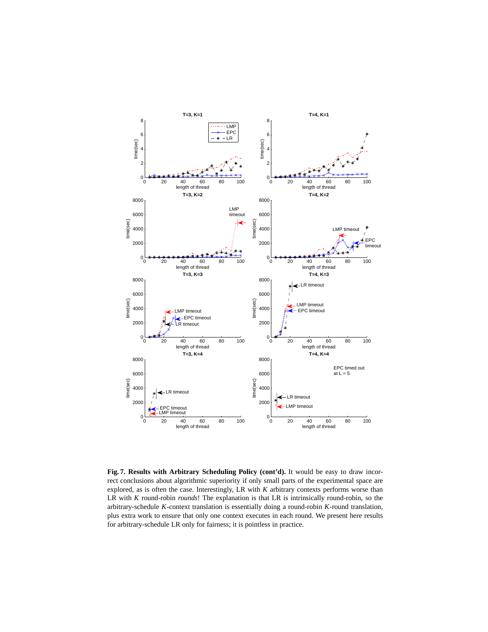

**Fig. 7. Results with Arbitrary Scheduling Policy (cont'd).** It would be easy to draw incorrect conclusions about algorithmic superiority if only small parts of the experimental space are explored, as is often the case. Interestingly, LR with *K* arbitrary contexts performs worse than LR with *K* round-robin *rounds*! The explanation is that LR is intrinsically round-robin, so the arbitrary-schedule *K*-context translation is essentially doing a round-robin *K*-round translation, plus extra work to ensure that only one context executes in each round. We present here results for arbitrary-schedule LR only for fairness; it is pointless in practice.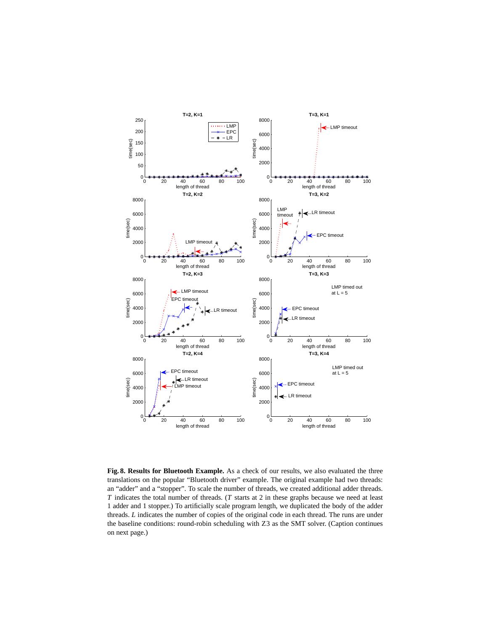

**Fig. 8. Results for Bluetooth Example.** As a check of our results, we also evaluated the three translations on the popular "Bluetooth driver" example. The original example had two threads: an "adder" and a "stopper". To scale the number of threads, we created additional adder threads. *T* indicates the total number of threads. (*T* starts at 2 in these graphs because we need at least 1 adder and 1 stopper.) To artificially scale program length, we duplicated the body of the adder threads. *L* indicates the number of copies of the original code in each thread. The runs are under the baseline conditions: round-robin scheduling with Z3 as the SMT solver. (Caption continues on next page.)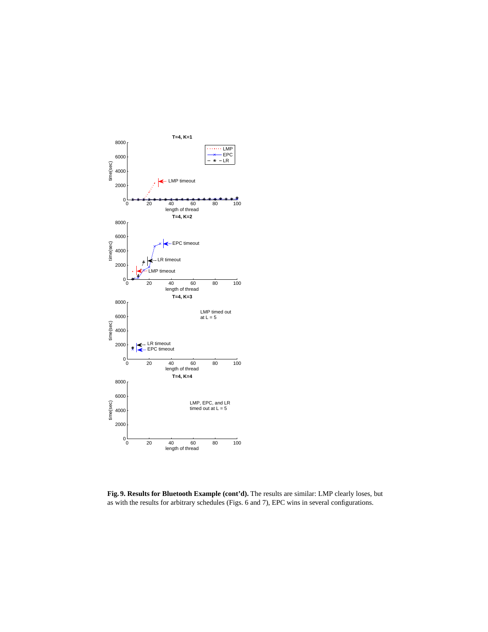

**Fig. 9. Results for Bluetooth Example (cont'd).** The results are similar: LMP clearly loses, but as with the results for arbitrary schedules (Figs. 6 and 7), EPC wins in several configurations.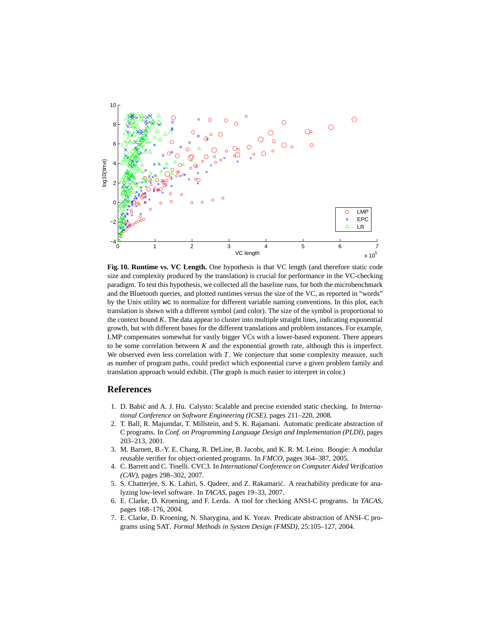

**Fig. 10. Runtime vs. VC Length.** One hypothesis is that VC length (and therefore static code size and complexity produced by the translation) is crucial for performance in the VC-checking paradigm. To test this hypothesis, we collected all the baseline runs, for both the microbenchmark and the Bluetooth queries, and plotted runtimes versus the size of the VC, as reported in "words" by the Unix utility wc to normalize for different variable naming conventions. In this plot, each translation is shown with a different symbol (and color). The size of the symbol is proportional to the context bound  $K$ . The data appear to cluster into multiple straight lines, indicating exponential growth, but with different bases for the different translations and problem instances. For example, LMP compensates somewhat for vastly bigger VCs with a lower-based exponent. There appears to be some correlation between *K* and the exponential growth rate, although this is imperfect. We observed even less correlation with *T*. We conjecture that some complexity measure, such as number of program paths, could predict which exponential curve a given problem family and translation approach would exhibit. (The graph is much easier to interpret in color.)

## **References**

- 1. D. Babi´c and A. J. Hu. Calysto: Scalable and precise extended static checking. In *International Conference on Software Engineering (ICSE)*, pages 211–220, 2008.
- 2. T. Ball, R. Majumdar, T. Millstein, and S. K. Rajamani. Automatic predicate abstraction of C programs. In *Conf. on Programming Language Design and Implementation (PLDI)*, pages 203–213, 2001.
- 3. M. Barnett, B.-Y. E. Chang, R. DeLine, B. Jacobs, and K. R. M. Leino. Boogie: A modular reusable verifier for object-oriented programs. In *FMCO*, pages 364–387, 2005.
- 4. C. Barrett and C. Tinelli. CVC3. In *International Conference on Computer Aided Verification (CAV)*, pages 298–302, 2007.
- 5. S. Chatterjee, S. K. Lahiri, S. Qadeer, and Z. Rakamarić. A reachability predicate for analyzing low-level software. In *TACAS*, pages 19–33, 2007.
- 6. E. Clarke, D. Kroening, and F. Lerda. A tool for checking ANSI-C programs. In *TACAS*, pages 168–176, 2004.
- 7. E. Clarke, D. Kroening, N. Sharygina, and K. Yorav. Predicate abstraction of ANSI–C programs using SAT. *Formal Methods in System Design (FMSD)*, 25:105–127, 2004.